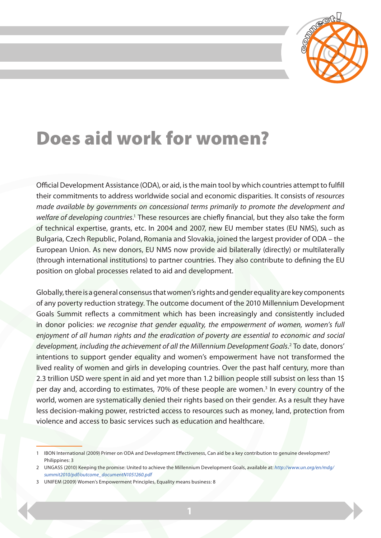

## Does aid work for women?

Official Development Assistance (ODA), or aid, is the main tool by which countries attempt to fulfill their commitments to address worldwide social and economic disparities. It consists of *resources made available by governments on concessional terms primarily to promote the development and*  welfare of developing countries.<sup>1</sup> These resources are chiefly financial, but they also take the form of technical expertise, grants, etc. In 2004 and 2007, new EU member states (EU NMS), such as Bulgaria, Czech Republic, Poland, Romania and Slovakia, joined the largest provider of ODA – the European Union. As new donors, EU NMS now provide aid bilaterally (directly) or multilaterally (through international institutions) to partner countries. They also contribute to defining the EU position on global processes related to aid and development.

Globally, there is a general consensus that women's rights and gender equality are key components of any poverty reduction strategy. The outcome document of the 2010 Millennium Development Goals Summit reflects a commitment which has been increasingly and consistently included in donor policies: *we recognise that gender equality, the empowerment of women, women's full enjoyment of all human rights and the eradication of poverty are essential to economic and social*  development, including the achievement of all the Millennium Development Goals.<sup>2</sup> To date, donors' intentions to support gender equality and women's empowerment have not transformed the lived reality of women and girls in developing countries. Over the past half century, more than 2.3 trillion USD were spent in aid and yet more than 1.2 billion people still subsist on less than 1\$ per day and, according to estimates, 70% of these people are women.<sup>3</sup> In every country of the world, women are systematically denied their rights based on their gender. As a result they have less decision-making power, restricted access to resources such as money, land, protection from violence and access to basic services such as education and healthcare.

<sup>1</sup> IBON International (2009) Primer on ODA and Development Effectiveness, Can aid be a key contribution to genuine development? Philippines: 3

<sup>2</sup> UNGASS (2010) Keeping the promise: United to achieve the Millennium Development Goals, available at: *http://www.un.org/en/mdg/ summit2010/pdf/outcome\_documentN1051260.pdf*

<sup>3</sup> UNIFEM (2009) Women's Empowerment Principles, Equality means business: 8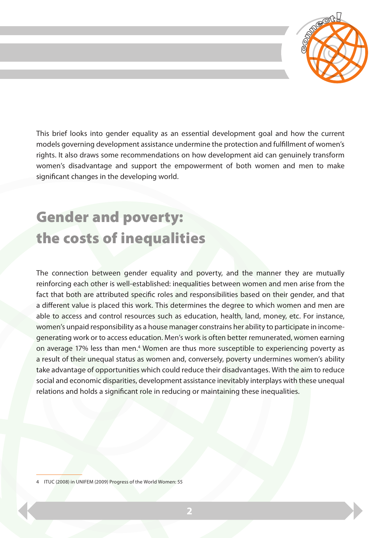

This brief looks into gender equality as an essential development goal and how the current models governing development assistance undermine the protection and fulfillment of women's rights. It also draws some recommendations on how development aid can genuinely transform women's disadvantage and support the empowerment of both women and men to make significant changes in the developing world.

### Gender and poverty: the costs of inequalities

The connection between gender equality and poverty, and the manner they are mutually reinforcing each other is well-established: inequalities between women and men arise from the fact that both are attributed specific roles and responsibilities based on their gender, and that a different value is placed this work. This determines the degree to which women and men are able to access and control resources such as education, health, land, money, etc. For instance, women's unpaid responsibility as a house manager constrains her ability to participate in incomegenerating work or to access education. Men's work is often better remunerated, women earning on average 17% less than men.<sup>4</sup> Women are thus more susceptible to experiencing poverty as a result of their unequal status as women and, conversely, poverty undermines women's ability take advantage of opportunities which could reduce their disadvantages. With the aim to reduce social and economic disparities, development assistance inevitably interplays with these unequal relations and holds a significant role in reducing or maintaining these inequalities.

<sup>4</sup> ITUC (2008) in UNIFEM (2009) Progress of the World Women: 55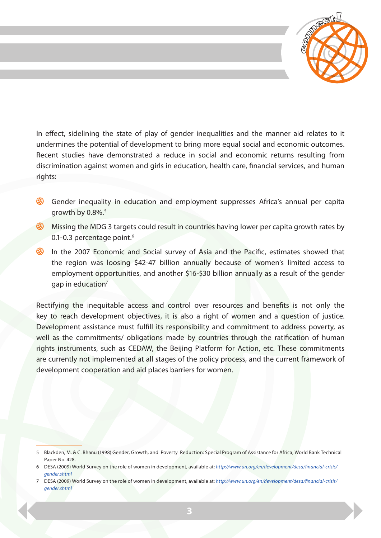

In effect, sidelining the state of play of gender inequalities and the manner aid relates to it undermines the potential of development to bring more equal social and economic outcomes. Recent studies have demonstrated a reduce in social and economic returns resulting from discrimination against women and girls in education, health care, financial services, and human rights:

- Gender inequality in education and employment suppresses Africa's annual per capita growth by  $0.8\%$ .<sup>5</sup>
- Missing the MDG 3 targets could result in countries having lower per capita growth rates by 0.1-0.3 percentage point.<sup>6</sup>
- In the 2007 Economic and Social survey of Asia and the Pacific, estimates showed that the region was loosing \$42-47 billion annually because of women's limited access to employment opportunities, and another \$16-\$30 billion annually as a result of the gender gap in education<sup>7</sup>

Rectifying the inequitable access and control over resources and benefits is not only the key to reach development objectives, it is also a right of women and a question of justice. Development assistance must fulfill its responsibility and commitment to address poverty, as well as the commitments/ obligations made by countries through the ratification of human rights instruments, such as CEDAW, the Beijing Platform for Action, etc. These commitments are currently not implemented at all stages of the policy process, and the current framework of development cooperation and aid places barriers for women.

<sup>5</sup> Blackden, M. & C. Bhanu (1998) Gender, Growth, and Poverty Reduction: Special Program of Assistance for Africa, World Bank Technical Paper No. 428

<sup>6</sup> DESA (2009) World Survey on the role of women in development, available at: *http://www.un.org/en/development/desa/financial-crisis/ gender.shtml*

<sup>7</sup> DESA (2009) World Survey on the role of women in development, available at: *http://www.un.org/en/development/desa/financial-crisis/ gender.shtml*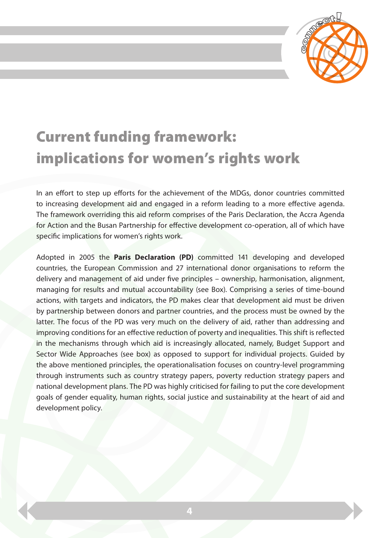

# Current funding framework: implications for women's rights work

In an effort to step up efforts for the achievement of the MDGs, donor countries committed to increasing development aid and engaged in a reform leading to a more effective agenda. The framework overriding this aid reform comprises of the Paris Declaration, the Accra Agenda for Action and the Busan Partnership for effective development co-operation, all of which have specific implications for women's rights work.

Adopted in 2005 the **Paris Declaration (PD)** committed 141 developing and developed countries, the European Commission and 27 international donor organisations to reform the delivery and management of aid under five principles – ownership, harmonisation, alignment, managing for results and mutual accountability (see Box). Comprising a series of time-bound actions, with targets and indicators, the PD makes clear that development aid must be driven by partnership between donors and partner countries, and the process must be owned by the latter. The focus of the PD was very much on the delivery of aid, rather than addressing and improving conditions for an effective reduction of poverty and inequalities. This shift is reflected in the mechanisms through which aid is increasingly allocated, namely, Budget Support and Sector Wide Approaches (see box) as opposed to support for individual projects. Guided by the above mentioned principles, the operationalisation focuses on country-level programming through instruments such as country strategy papers, poverty reduction strategy papers and national development plans. The PD was highly criticised for failing to put the core development goals of gender equality, human rights, social justice and sustainability at the heart of aid and development policy.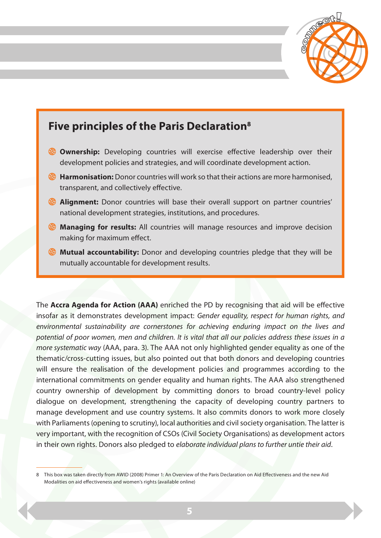



The **Accra Agenda for Action (AAA)** enriched the PD by recognising that aid will be effective insofar as it demonstrates development impact: *Gender equality, respect for human rights, and environmental sustainability are cornerstones for achieving enduring impact on the lives and potential of poor women, men and children. It is vital that all our policies address these issues in a more systematic way* (AAA, para. 3). The AAA not only highlighted gender equality as one of the thematic/cross-cutting issues, but also pointed out that both donors and developing countries will ensure the realisation of the development policies and programmes according to the international commitments on gender equality and human rights. The AAA also strengthened country ownership of development by committing donors to broad country-level policy dialogue on development, strengthening the capacity of developing country partners to manage development and use country systems. It also commits donors to work more closely with Parliaments (opening to scrutiny), local authorities and civil society organisation. The latter is very important, with the recognition of CSOs (Civil Society Organisations) as development actors in their own rights. Donors also pledged to *elaborate individual plans to further untie their aid*.

<sup>8</sup> This box was taken directly from AWID (2008) Primer 1: An Overview of the Paris Declaration on Aid Effectiveness and the new Aid Modalities on aid effectiveness and women's rights (available online)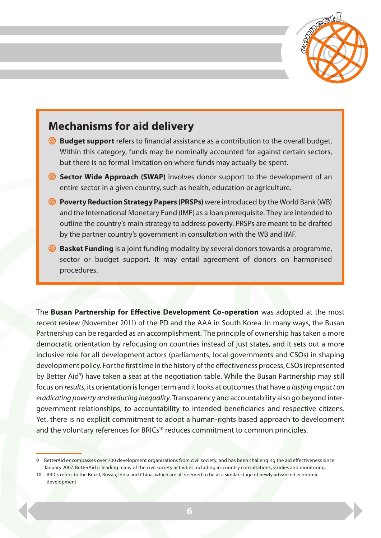

#### **Mechanisms for aid delivery**

- **Budget support** refers to financial assistance as a contribution to the overall budget. Within this category, funds may be nominally accounted for against certain sectors, but there is no formal limitation on where funds may actually be spent.
- **Sector Wide Approach (SWAP)** involves donor support to the development of an entire sector in a given country, such as health, education or agriculture.
- **Poverty Reduction Strategy Papers (PRSPs)** were introduced by the World Bank (WB) and the International Monetary Fund (IMF) as a loan prerequisite. They are intended to outline the country's main strategy to address poverty. PRSPs are meant to be drafted by the partner country's government in consultation with the WB and IMF.
- **Basket Funding** is a joint funding modality by several donors towards a programme, sector or budget support. It may entail agreement of donors on harmonised procedures.

The **Busan Partnership for Effective Development Co-operation** was adopted at the most recent review (November 2011) of the PD and the AAA in South Korea. In many ways, the Busan Partnership can be regarded as an accomplishment. The principle of ownership has taken a more democratic orientation by refocusing on countries instead of just states, and it sets out a more inclusive role for all development actors (parliaments, local governments and CSOs) in shaping development policy. For the first time in the history of the effectiveness process, CSOs (represented by Better Aid<sup>9</sup>) have taken a seat at the negotiation table. While the Busan Partnership may still focus on *results*, its orientation is longer term and it looks at outcomes that have *a lasting impact on eradicating poverty and reducing inequality*. Transparency and accountability also go beyond intergovernment relationships, to accountability to intended beneficiaries and respective citizens. Yet, there is no explicit commitment to adopt a human-rights based approach to development and the voluntary references for BRICs<sup>10</sup> reduces commitment to common principles.

<sup>9</sup> BetterAid encompasses over 700 development organisations from civil society, and has been challenging the aid effectiveness since January 2007. BetterAid is leading many of the civil society activities including in-country consultations, studies and monitoring.

<sup>10</sup> BRICs refers to the Brazil, Russia, India and China, which are all deemed to be at a similar stage of newly advanced economic development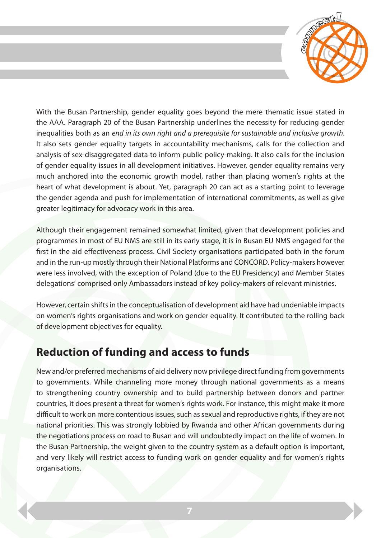

With the Busan Partnership, gender equality goes beyond the mere thematic issue stated in the AAA. Paragraph 20 of the Busan Partnership underlines the necessity for reducing gender inequalities both as an *end in its own right and a prerequisite for sustainable and inclusive growth*. It also sets gender equality targets in accountability mechanisms, calls for the collection and analysis of sex-disaggregated data to inform public policy-making. It also calls for the inclusion of gender equality issues in all development initiatives. However, gender equality remains very much anchored into the economic growth model, rather than placing women's rights at the heart of what development is about. Yet, paragraph 20 can act as a starting point to leverage the gender agenda and push for implementation of international commitments, as well as give greater legitimacy for advocacy work in this area.

Although their engagement remained somewhat limited, given that development policies and programmes in most of EU NMS are still in its early stage, it is in Busan EU NMS engaged for the first in the aid effectiveness process. Civil Society organisations participated both in the forum and in the run-up mostly through their National Platforms and CONCORD. Policy-makers however were less involved, with the exception of Poland (due to the EU Presidency) and Member States delegations' comprised only Ambassadors instead of key policy-makers of relevant ministries.

However, certain shifts in the conceptualisation of development aid have had undeniable impacts on women's rights organisations and work on gender equality. It contributed to the rolling back of development objectives for equality.

#### **Reduction of funding and access to funds**

New and/or preferred mechanisms of aid delivery now privilege direct funding from governments to governments. While channeling more money through national governments as a means to strengthening country ownership and to build partnership between donors and partner countries, it does present a threat for women's rights work. For instance, this might make it more difficult to work on more contentious issues, such as sexual and reproductive rights, if they are not national priorities. This was strongly lobbied by Rwanda and other African governments during the negotiations process on road to Busan and will undoubtedly impact on the life of women. In the Busan Partnership, the weight given to the country system as a default option is important, and very likely will restrict access to funding work on gender equality and for women's rights organisations.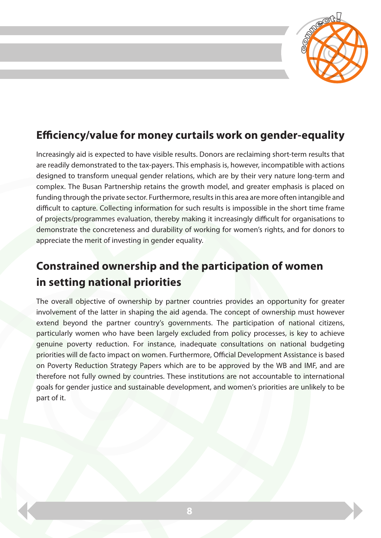

### **Efficiency/value for money curtails work on gender-equality**

Increasingly aid is expected to have visible results. Donors are reclaiming short-term results that are readily demonstrated to the tax-payers. This emphasis is, however, incompatible with actions designed to transform unequal gender relations, which are by their very nature long-term and complex. The Busan Partnership retains the growth model, and greater emphasis is placed on funding through the private sector. Furthermore, results in this area are more often intangible and difficult to capture. Collecting information for such results is impossible in the short time frame of projects/programmes evaluation, thereby making it increasingly difficult for organisations to demonstrate the concreteness and durability of working for women's rights, and for donors to appreciate the merit of investing in gender equality.

### **Constrained ownership and the participation of women in setting national priorities**

The overall objective of ownership by partner countries provides an opportunity for greater involvement of the latter in shaping the aid agenda. The concept of ownership must however extend beyond the partner country's governments. The participation of national citizens, particularly women who have been largely excluded from policy processes, is key to achieve genuine poverty reduction. For instance, inadequate consultations on national budgeting priorities will de facto impact on women. Furthermore, Official Development Assistance is based on Poverty Reduction Strategy Papers which are to be approved by the WB and IMF, and are therefore not fully owned by countries. These institutions are not accountable to international goals for gender justice and sustainable development, and women's priorities are unlikely to be part of it.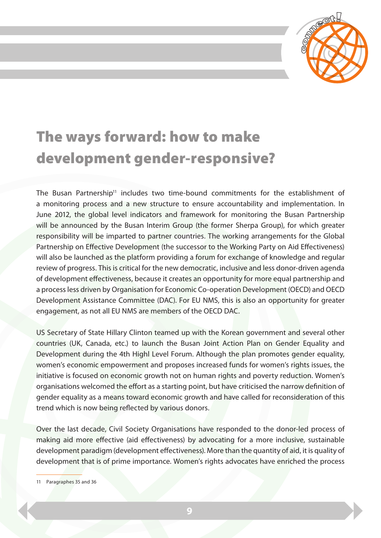

### The ways forward: how to make development gender-responsive?

The Busan Partnership<sup>11</sup> includes two time-bound commitments for the establishment of a monitoring process and a new structure to ensure accountability and implementation. In June 2012, the global level indicators and framework for monitoring the Busan Partnership will be announced by the Busan Interim Group (the former Sherpa Group), for which greater responsibility will be imparted to partner countries. The working arrangements for the Global Partnership on Effective Development (the successor to the Working Party on Aid Effectiveness) will also be launched as the platform providing a forum for exchange of knowledge and regular review of progress. This is critical for the new democratic, inclusive and less donor-driven agenda of development effectiveness, because it creates an opportunity for more equal partnership and a process less driven by Organisation for Economic Co-operation Development (OECD) and OECD Development Assistance Committee (DAC). For EU NMS, this is also an opportunity for greater engagement, as not all EU NMS are members of the OECD DAC.

US Secretary of State Hillary Clinton teamed up with the Korean government and several other countries (UK, Canada, etc.) to launch the Busan Joint Action Plan on Gender Equality and Development during the 4th Highl Level Forum. Although the plan promotes gender equality, women's economic empowerment and proposes increased funds for women's rights issues, the initiative is focused on economic growth not on human rights and poverty reduction. Women's organisations welcomed the effort as a starting point, but have criticised the narrow definition of gender equality as a means toward economic growth and have called for reconsideration of this trend which is now being reflected by various donors.

Over the last decade, Civil Society Organisations have responded to the donor-led process of making aid more effective (aid effectiveness) by advocating for a more inclusive, sustainable development paradigm (development effectiveness). More than the quantity of aid, it is quality of development that is of prime importance. Women's rights advocates have enriched the process

11 Paragraphes 35 and 36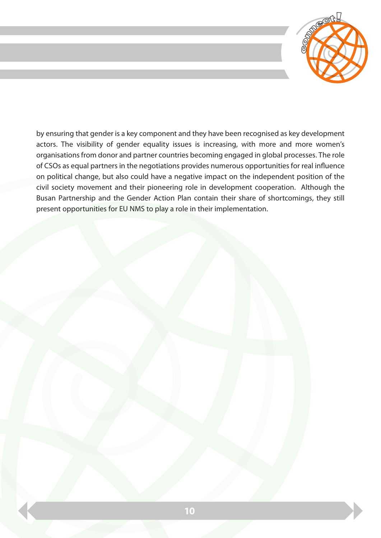

by ensuring that gender is a key component and they have been recognised as key development actors. The visibility of gender equality issues is increasing, with more and more women's organisations from donor and partner countries becoming engaged in global processes. The role of CSOs as equal partners in the negotiations provides numerous opportunities for real influence on political change, but also could have a negative impact on the independent position of the civil society movement and their pioneering role in development cooperation. Although the Busan Partnership and the Gender Action Plan contain their share of shortcomings, they still present opportunities for EU NMS to play a role in their implementation.